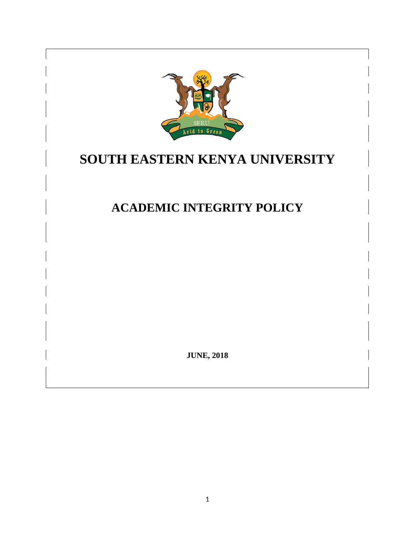

# **SOUTH EASTERN KENYA UNIVERSITY**

**ACADEMIC INTEGRITY POLICY**

**JUNE, 2018**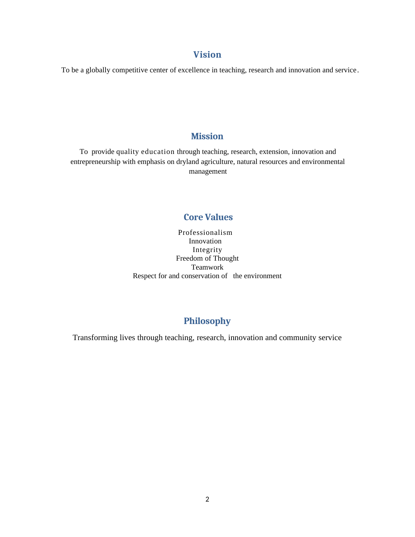## <span id="page-1-0"></span>**Vision**

To be a globally competitive center of excellence in teaching, research and innovation and service.

## <span id="page-1-1"></span>**Mission**

To provide quality education through teaching, research, extension, innovation and entrepreneurship with emphasis on dryland agriculture, natural resources and environmental management

## <span id="page-1-2"></span> **Core Values**

Professionalism Innovation Integrity Freedom of Thought Teamwork Respect for and conservation of the environment

## <span id="page-1-3"></span>**Philosophy**

Transforming lives through teaching, research, innovation and community service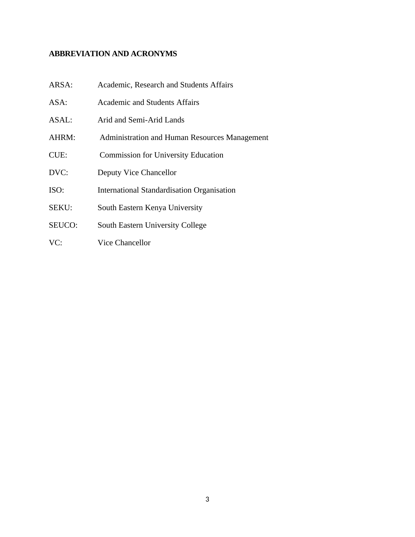## <span id="page-2-0"></span>**ABBREVIATION AND ACRONYMS**

| ARSA:  | Academic, Research and Students Affairs       |
|--------|-----------------------------------------------|
| ASA:   | Academic and Students Affairs                 |
| ASAL:  | Arid and Semi-Arid Lands                      |
| AHRM:  | Administration and Human Resources Management |
| CUE:   | <b>Commission for University Education</b>    |
| DVC:   | Deputy Vice Chancellor                        |
| ISO:   | International Standardisation Organisation    |
| SEKU:  | South Eastern Kenya University                |
| SEUCO: | South Eastern University College              |
|        |                                               |

VC: Vice Chancellor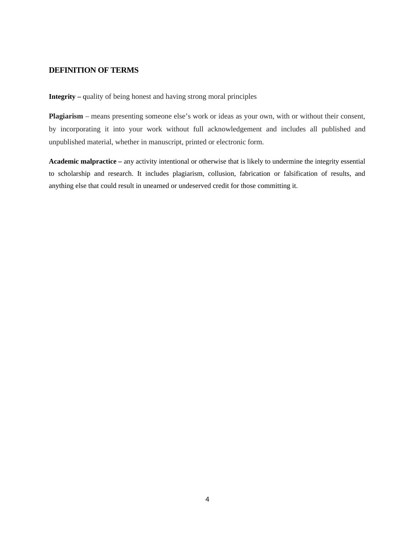#### <span id="page-3-0"></span>**DEFINITION OF TERMS**

**Integrity –** quality of being honest and having strong moral principles

**Plagiarism** – means presenting someone else's work or ideas as your own, with or without their consent, by incorporating it into your work without full acknowledgement and includes all published and unpublished material, whether in manuscript, printed or electronic form.

**Academic malpractice –** any activity intentional or otherwise that is likely to undermine the integrity essential to scholarship and research. It includes plagiarism, collusion, fabrication or falsification of results, and anything else that could result in unearned or undeserved credit for those committing it.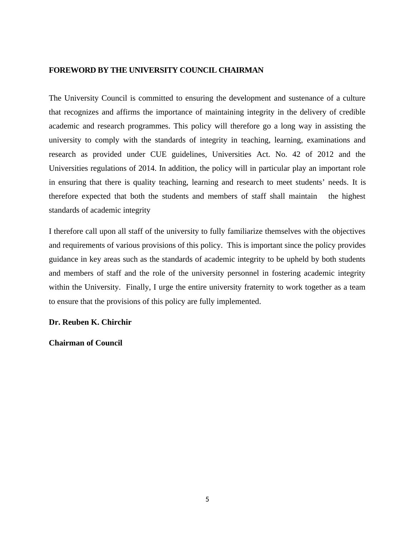#### <span id="page-4-0"></span>**FOREWORD BY THE UNIVERSITY COUNCIL CHAIRMAN**

The University Council is committed to ensuring the development and sustenance of a culture that recognizes and affirms the importance of maintaining integrity in the delivery of credible academic and research programmes. This policy will therefore go a long way in assisting the university to comply with the standards of integrity in teaching, learning, examinations and research as provided under CUE guidelines, Universities Act. No. 42 of 2012 and the Universities regulations of 2014. In addition, the policy will in particular play an important role in ensuring that there is quality teaching, learning and research to meet students' needs. It is therefore expected that both the students and members of staff shall maintain the highest standards of academic integrity

I therefore call upon all staff of the university to fully familiarize themselves with the objectives and requirements of various provisions of this policy. This is important since the policy provides guidance in key areas such as the standards of academic integrity to be upheld by both students and members of staff and the role of the university personnel in fostering academic integrity within the University. Finally, I urge the entire university fraternity to work together as a team to ensure that the provisions of this policy are fully implemented.

#### **Dr. Reuben K. Chirchir**

#### **Chairman of Council**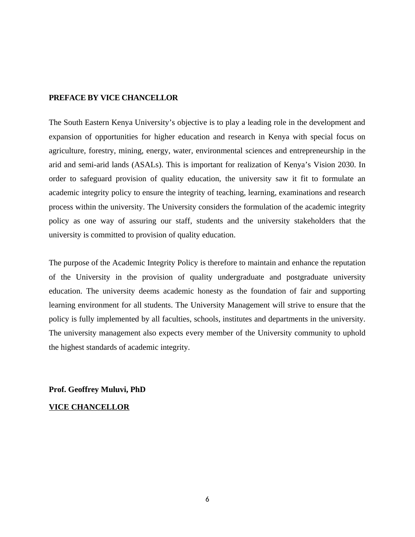#### <span id="page-5-0"></span>**PREFACE BY VICE CHANCELLOR**

The South Eastern Kenya University's objective is to play a leading role in the development and expansion of opportunities for higher education and research in Kenya with special focus on agriculture, forestry, mining, energy, water, environmental sciences and entrepreneurship in the arid and semi-arid lands (ASALs). This is important for realization of Kenya's Vision 2030. In order to safeguard provision of quality education, the university saw it fit to formulate an academic integrity policy to ensure the integrity of teaching, learning, examinations and research process within the university. The University considers the formulation of the academic integrity policy as one way of assuring our staff, students and the university stakeholders that the university is committed to provision of quality education.

The purpose of the Academic Integrity Policy is therefore to maintain and enhance the reputation of the University in the provision of quality undergraduate and postgraduate university education. The university deems academic honesty as the foundation of fair and supporting learning environment for all students. The University Management will strive to ensure that the policy is fully implemented by all faculties, schools, institutes and departments in the university. The university management also expects every member of the University community to uphold the highest standards of academic integrity.

**Prof. Geoffrey Muluvi, PhD VICE CHANCELLOR**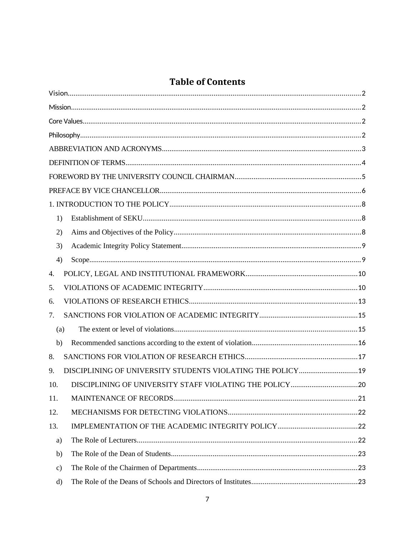## **Table of Contents**

|     | 1)  |                                                             |  |  |  |
|-----|-----|-------------------------------------------------------------|--|--|--|
| 2)  |     |                                                             |  |  |  |
|     | 3)  |                                                             |  |  |  |
| 4)  |     |                                                             |  |  |  |
| 4.  |     |                                                             |  |  |  |
| 5.  |     |                                                             |  |  |  |
| 6.  |     |                                                             |  |  |  |
| 7.  |     |                                                             |  |  |  |
|     | (a) |                                                             |  |  |  |
| b)  |     |                                                             |  |  |  |
| 8.  |     |                                                             |  |  |  |
| 9.  |     | DISCIPLINING OF UNIVERSITY STUDENTS VIOLATING THE POLICY 19 |  |  |  |
| 10. |     |                                                             |  |  |  |
| 11. |     |                                                             |  |  |  |
| 12. |     |                                                             |  |  |  |
| 13. |     |                                                             |  |  |  |
| a)  |     |                                                             |  |  |  |
| b)  |     |                                                             |  |  |  |
| C)  |     |                                                             |  |  |  |
| d)  |     |                                                             |  |  |  |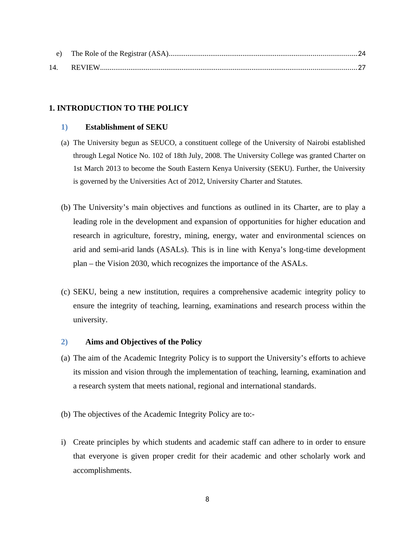| 14. |  |
|-----|--|

## <span id="page-7-0"></span>**1. INTRODUCTION TO THE POLICY**

#### <span id="page-7-1"></span>**1) Establishment of SEKU**

- (a) The University begun as SEUCO, a constituent college of the University of Nairobi established through Legal Notice No. 102 of 18th July, 2008. The University College was granted Charter on 1st March 2013 to become the South Eastern Kenya University (SEKU). Further, the University is governed by the Universities Act of 2012, University Charter and Statutes.
- (b) The University's main objectives and functions as outlined in its Charter, are to play a leading role in the development and expansion of opportunities for higher education and research in agriculture, forestry, mining, energy, water and environmental sciences on arid and semi-arid lands (ASALs). This is in line with Kenya's long-time development plan – the Vision 2030, which recognizes the importance of the ASALs.
- (c) SEKU, being a new institution, requires a comprehensive academic integrity policy to ensure the integrity of teaching, learning, examinations and research process within the university.

#### <span id="page-7-2"></span>**2) Aims and Objectives of the Policy**

- (a) The aim of the Academic Integrity Policy is to support the University's efforts to achieve its mission and vision through the implementation of teaching, learning, examination and a research system that meets national, regional and international standards.
- (b) The objectives of the Academic Integrity Policy are to:-
- i) Create principles by which students and academic staff can adhere to in order to ensure that everyone is given proper credit for their academic and other scholarly work and accomplishments.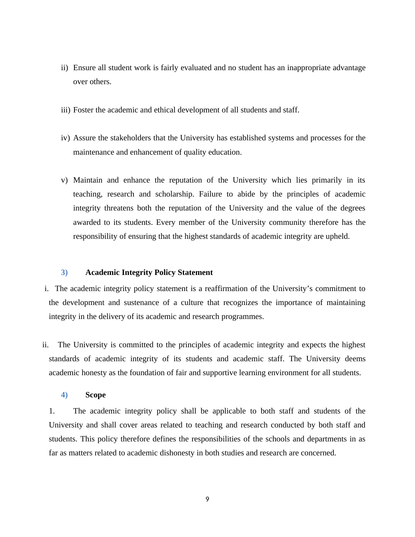- ii) Ensure all student work is fairly evaluated and no student has an inappropriate advantage over others.
- iii) Foster the academic and ethical development of all students and staff.
- iv) Assure the stakeholders that the University has established systems and processes for the maintenance and enhancement of quality education.
- v) Maintain and enhance the reputation of the University which lies primarily in its teaching, research and scholarship. Failure to abide by the principles of academic integrity threatens both the reputation of the University and the value of the degrees awarded to its students. Every member of the University community therefore has the responsibility of ensuring that the highest standards of academic integrity are upheld.

#### <span id="page-8-0"></span>**3) Academic Integrity Policy Statement**

- i. The academic integrity policy statement is a reaffirmation of the University's commitment to the development and sustenance of a culture that recognizes the importance of maintaining integrity in the delivery of its academic and research programmes.
- ii. The University is committed to the principles of academic integrity and expects the highest standards of academic integrity of its students and academic staff. The University deems academic honesty as the foundation of fair and supportive learning environment for all students.

#### <span id="page-8-1"></span>**4) Scope**

1. The academic integrity policy shall be applicable to both staff and students of the University and shall cover areas related to teaching and research conducted by both staff and students. This policy therefore defines the responsibilities of the schools and departments in as far as matters related to academic dishonesty in both studies and research are concerned.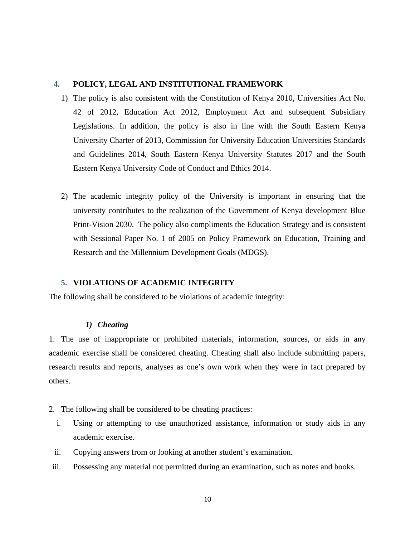#### <span id="page-9-0"></span>**4. POLICY, LEGAL AND INSTITUTIONAL FRAMEWORK**

- 1) The policy is also consistent with the Constitution of Kenya 2010, Universities Act No. 42 of 2012, Education Act 2012, Employment Act and subsequent Subsidiary Legislations. In addition, the policy is also in line with the South Eastern Kenya University Charter of 2013, Commission for University Education Universities Standards and Guidelines 2014, South Eastern Kenya University Statutes 2017 and the South Eastern Kenya University Code of Conduct and Ethics 2014.
- 2) The academic integrity policy of the University is important in ensuring that the university contributes to the realization of the Government of Kenya development Blue Print-Vision 2030. The policy also compliments the Education Strategy and is consistent with Sessional Paper No. 1 of 2005 on Policy Framework on Education, Training and Research and the Millennium Development Goals (MDGS).

#### <span id="page-9-1"></span>**5. VIOLATIONS OF ACADEMIC INTEGRITY**

The following shall be considered to be violations of academic integrity:

#### *1) Cheating*

1. The use of inappropriate or prohibited materials, information, sources, or aids in any academic exercise shall be considered cheating. Cheating shall also include submitting papers, research results and reports, analyses as one's own work when they were in fact prepared by others.

- 2. The following shall be considered to be cheating practices:
	- i. Using or attempting to use unauthorized assistance, information or study aids in any academic exercise.
	- ii. Copying answers from or looking at another student's examination.
- iii. Possessing any material not permitted during an examination, such as notes and books.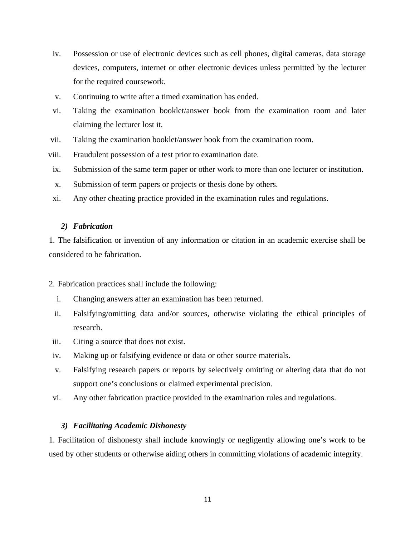- iv. Possession or use of electronic devices such as cell phones, digital cameras, data storage devices, computers, internet or other electronic devices unless permitted by the lecturer for the required coursework.
- v. Continuing to write after a timed examination has ended.
- vi. Taking the examination booklet/answer book from the examination room and later claiming the lecturer lost it.
- vii. Taking the examination booklet/answer book from the examination room.
- viii. Fraudulent possession of a test prior to examination date.
- ix. Submission of the same term paper or other work to more than one lecturer or institution.
- x. Submission of term papers or projects or thesis done by others.
- xi. Any other cheating practice provided in the examination rules and regulations.

#### *2) Fabrication*

1. The falsification or invention of any information or citation in an academic exercise shall be considered to be fabrication.

2. Fabrication practices shall include the following:

- i. Changing answers after an examination has been returned.
- ii. Falsifying/omitting data and/or sources, otherwise violating the ethical principles of research.
- iii. Citing a source that does not exist.
- iv. Making up or falsifying evidence or data or other source materials.
- v. Falsifying research papers or reports by selectively omitting or altering data that do not support one's conclusions or claimed experimental precision.
- vi. Any other fabrication practice provided in the examination rules and regulations.

#### *3) Facilitating Academic Dishonesty*

1. Facilitation of dishonesty shall include knowingly or negligently allowing one's work to be used by other students or otherwise aiding others in committing violations of academic integrity.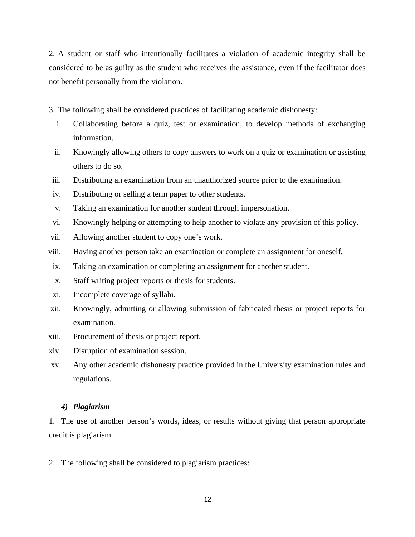2. A student or staff who intentionally facilitates a violation of academic integrity shall be considered to be as guilty as the student who receives the assistance, even if the facilitator does not benefit personally from the violation.

3. The following shall be considered practices of facilitating academic dishonesty:

- i. Collaborating before a quiz, test or examination, to develop methods of exchanging information.
- ii. Knowingly allowing others to copy answers to work on a quiz or examination or assisting others to do so.
- iii. Distributing an examination from an unauthorized source prior to the examination.
- iv. Distributing or selling a term paper to other students.
- v. Taking an examination for another student through impersonation.
- vi. Knowingly helping or attempting to help another to violate any provision of this policy.
- vii. Allowing another student to copy one's work.
- viii. Having another person take an examination or complete an assignment for oneself.
- ix. Taking an examination or completing an assignment for another student.
- x. Staff writing project reports or thesis for students.
- xi. Incomplete coverage of syllabi.
- xii. Knowingly, admitting or allowing submission of fabricated thesis or project reports for examination.
- xiii. Procurement of thesis or project report.
- xiv. Disruption of examination session.
- xv. Any other academic dishonesty practice provided in the University examination rules and regulations.

#### *4) Plagiarism*

1. The use of another person's words, ideas, or results without giving that person appropriate credit is plagiarism.

2. The following shall be considered to plagiarism practices: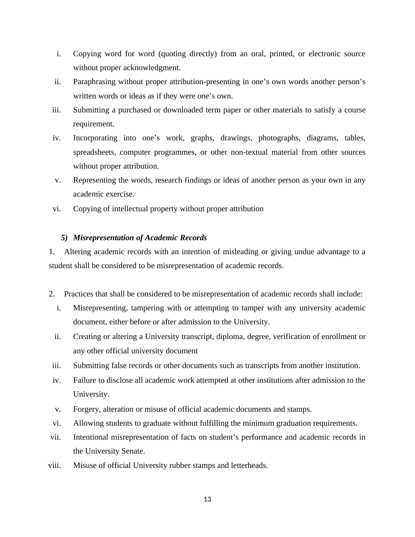- i. Copying word for word (quoting directly) from an oral, printed, or electronic source without proper acknowledgment.
- ii. Paraphrasing without proper attribution-presenting in one's own words another person's written words or ideas as if they were one's own.
- iii. Submitting a purchased or downloaded term paper or other materials to satisfy a course requirement.
- iv. Incorporating into one's work, graphs, drawings, photographs, diagrams, tables, spreadsheets, computer programmes, or other non-textual material from other sources without proper attribution.
- v. Representing the words, research findings or ideas of another person as your own in any academic exercise.
- vi. Copying of intellectual property without proper attribution

## *5) Misrepresentation of Academic Records*

1. Altering academic records with an intention of misleading or giving undue advantage to a student shall be considered to be misrepresentation of academic records.

- 2. Practices that shall be considered to be misrepresentation of academic records shall include:
	- i. Misrepresenting, tampering with or attempting to tamper with any university academic document, either before or after admission to the University.
	- ii. Creating or altering a University transcript, diploma, degree, verification of enrollment or any other official university document
- iii. Submitting false records or other documents such as transcripts from another institution.
- iv. Failure to disclose all academic work attempted at other institutions after admission to the University.
- v. Forgery, alteration or misuse of official academic documents and stamps.
- vi. Allowing students to graduate without fulfilling the minimum graduation requirements.
- vii. Intentional misrepresentation of facts on student's performance and academic records in the University Senate.
- viii. Misuse of official University rubber stamps and letterheads.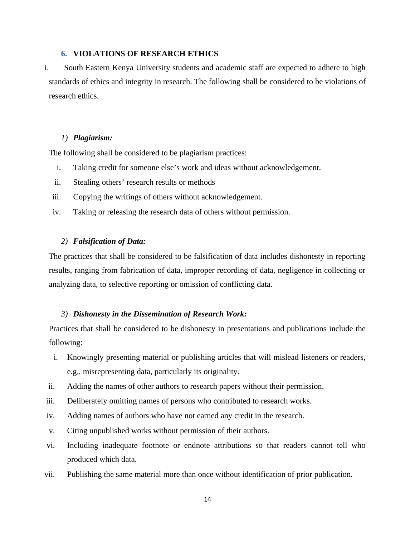#### <span id="page-13-0"></span>**6. VIOLATIONS OF RESEARCH ETHICS**

i. South Eastern Kenya University students and academic staff are expected to adhere to high standards of ethics and integrity in research. The following shall be considered to be violations of research ethics.

#### *1) Plagiarism:*

The following shall be considered to be plagiarism practices:

- i. Taking credit for someone else's work and ideas without acknowledgement.
- ii. Stealing others' research results or methods
- iii. Copying the writings of others without acknowledgement.
- iv. Taking or releasing the research data of others without permission.

#### *2) Falsification of Data:*

The practices that shall be considered to be falsification of data includes dishonesty in reporting results, ranging from fabrication of data, improper recording of data, negligence in collecting or analyzing data, to selective reporting or omission of conflicting data.

#### *3) Dishonesty in the Dissemination of Research Work:*

Practices that shall be considered to be dishonesty in presentations and publications include the following:

- i. Knowingly presenting material or publishing articles that will mislead listeners or readers, e.g., misrepresenting data, particularly its originality.
- ii. Adding the names of other authors to research papers without their permission.
- iii. Deliberately omitting names of persons who contributed to research works.
- iv. Adding names of authors who have not earned any credit in the research.
- v. Citing unpublished works without permission of their authors.
- vi. Including inadequate footnote or endnote attributions so that readers cannot tell who produced which data.
- vii. Publishing the same material more than once without identification of prior publication.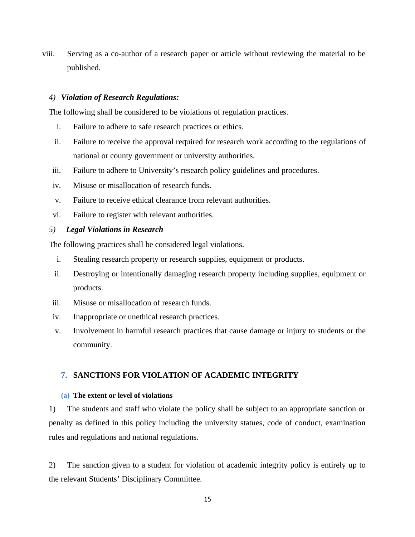viii. Serving as a co-author of a research paper or article without reviewing the material to be published.

#### *4) Violation of Research Regulations:*

The following shall be considered to be violations of regulation practices.

- i. Failure to adhere to safe research practices or ethics.
- ii. Failure to receive the approval required for research work according to the regulations of national or county government or university authorities.
- iii. Failure to adhere to University's research policy guidelines and procedures.
- iv. Misuse or misallocation of research funds.
- v. Failure to receive ethical clearance from relevant authorities.
- vi. Failure to register with relevant authorities.

#### *5) Legal Violations in Research*

The following practices shall be considered legal violations.

- i. Stealing research property or research supplies, equipment or products.
- ii. Destroying or intentionally damaging research property including supplies, equipment or products.
- iii. Misuse or misallocation of research funds.
- iv. Inappropriate or unethical research practices.
- v. Involvement in harmful research practices that cause damage or injury to students or the community.

## <span id="page-14-0"></span>**7. SANCTIONS FOR VIOLATION OF ACADEMIC INTEGRITY**

#### <span id="page-14-1"></span>**(a) The extent or level of violations**

1) The students and staff who violate the policy shall be subject to an appropriate sanction or penalty as defined in this policy including the university statues, code of conduct, examination rules and regulations and national regulations.

2) The sanction given to a student for violation of academic integrity policy is entirely up to the relevant Students' Disciplinary Committee.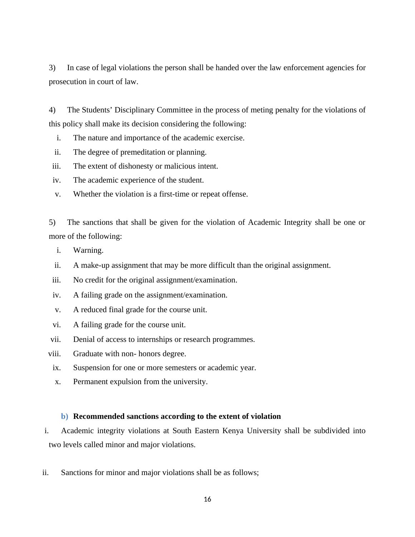3) In case of legal violations the person shall be handed over the law enforcement agencies for prosecution in court of law.

4) The Students' Disciplinary Committee in the process of meting penalty for the violations of this policy shall make its decision considering the following:

- i. The nature and importance of the academic exercise.
- ii. The degree of premeditation or planning.
- iii. The extent of dishonesty or malicious intent.
- iv. The academic experience of the student.
- v. Whether the violation is a first-time or repeat offense.

5) The sanctions that shall be given for the violation of Academic Integrity shall be one or more of the following:

- i. Warning.
- ii. A make-up assignment that may be more difficult than the original assignment.
- iii. No credit for the original assignment/examination.
- iv. A failing grade on the assignment/examination.
- v. A reduced final grade for the course unit.
- vi. A failing grade for the course unit.
- vii. Denial of access to internships or research programmes.
- viii. Graduate with non- honors degree.
- ix. Suspension for one or more semesters or academic year.
- x. Permanent expulsion from the university.

#### <span id="page-15-0"></span>**b) Recommended sanctions according to the extent of violation**

- i. Academic integrity violations at South Eastern Kenya University shall be subdivided into two levels called minor and major violations.
- ii. Sanctions for minor and major violations shall be as follows;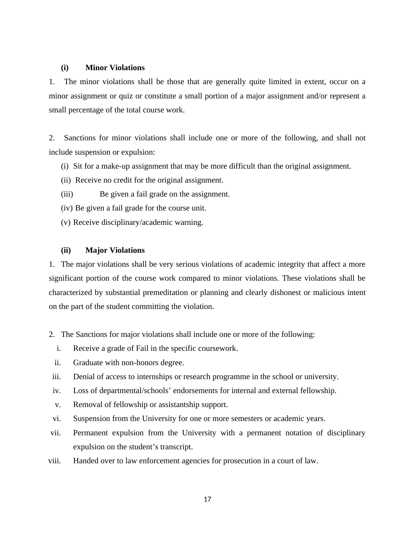#### **(i) Minor Violations**

1. The minor violations shall be those that are generally quite limited in extent, occur on a minor assignment or quiz or constitute a small portion of a major assignment and/or represent a small percentage of the total course work.

2. Sanctions for minor violations shall include one or more of the following, and shall not include suspension or expulsion:

(i) Sit for a make-up assignment that may be more difficult than the original assignment.

(ii) Receive no credit for the original assignment.

(iii) Be given a fail grade on the assignment.

(iv) Be given a fail grade for the course unit.

(v) Receive disciplinary/academic warning.

#### **(ii) Major Violations**

1. The major violations shall be very serious violations of academic integrity that affect a more significant portion of the course work compared to minor violations. These violations shall be characterized by substantial premeditation or planning and clearly dishonest or malicious intent on the part of the student committing the violation.

- 2. The Sanctions for major violations shall include one or more of the following:
	- i. Receive a grade of Fail in the specific coursework.
	- ii. Graduate with non-honors degree.
- iii. Denial of access to internships or research programme in the school or university.
- iv. Loss of departmental/schools' endorsements for internal and external fellowship.
- v. Removal of fellowship or assistantship support.
- vi. Suspension from the University for one or more semesters or academic years.
- vii. Permanent expulsion from the University with a permanent notation of disciplinary expulsion on the student's transcript.
- viii. Handed over to law enforcement agencies for prosecution in a court of law.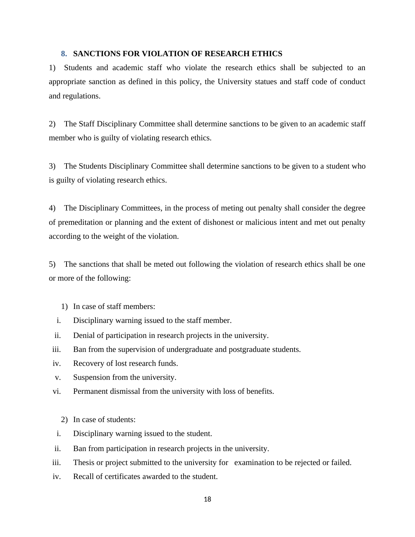#### <span id="page-17-0"></span>**8. SANCTIONS FOR VIOLATION OF RESEARCH ETHICS**

1) Students and academic staff who violate the research ethics shall be subjected to an appropriate sanction as defined in this policy, the University statues and staff code of conduct and regulations.

2) The Staff Disciplinary Committee shall determine sanctions to be given to an academic staff member who is guilty of violating research ethics.

3) The Students Disciplinary Committee shall determine sanctions to be given to a student who is guilty of violating research ethics.

4) The Disciplinary Committees, in the process of meting out penalty shall consider the degree of premeditation or planning and the extent of dishonest or malicious intent and met out penalty according to the weight of the violation.

5) The sanctions that shall be meted out following the violation of research ethics shall be one or more of the following:

- 1) In case of staff members:
- i. Disciplinary warning issued to the staff member.
- ii. Denial of participation in research projects in the university.
- iii. Ban from the supervision of undergraduate and postgraduate students.
- iv. Recovery of lost research funds.
- v. Suspension from the university.
- vi. Permanent dismissal from the university with loss of benefits.
	- 2) In case of students:
- i. Disciplinary warning issued to the student.
- ii. Ban from participation in research projects in the university.
- iii. Thesis or project submitted to the university for examination to be rejected or failed.
- iv. Recall of certificates awarded to the student.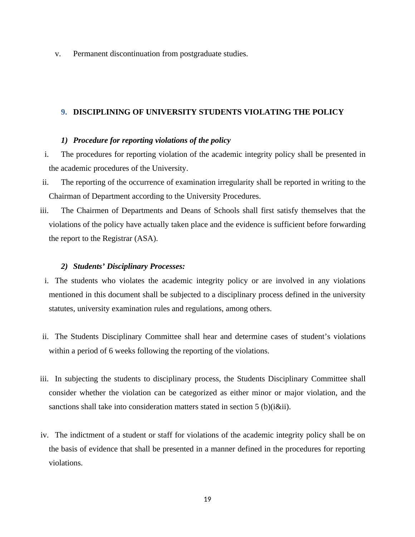v. Permanent discontinuation from postgraduate studies.

#### <span id="page-18-0"></span>**9. DISCIPLINING OF UNIVERSITY STUDENTS VIOLATING THE POLICY**

#### *1) Procedure for reporting violations of the policy*

- i. The procedures for reporting violation of the academic integrity policy shall be presented in the academic procedures of the University.
- ii. The reporting of the occurrence of examination irregularity shall be reported in writing to the Chairman of Department according to the University Procedures.
- iii. The Chairmen of Departments and Deans of Schools shall first satisfy themselves that the violations of the policy have actually taken place and the evidence is sufficient before forwarding the report to the Registrar (ASA).

#### *2) Students' Disciplinary Processes:*

- i. The students who violates the academic integrity policy or are involved in any violations mentioned in this document shall be subjected to a disciplinary process defined in the university statutes, university examination rules and regulations, among others.
- ii. The Students Disciplinary Committee shall hear and determine cases of student's violations within a period of 6 weeks following the reporting of the violations.
- iii. In subjecting the students to disciplinary process, the Students Disciplinary Committee shall consider whether the violation can be categorized as either minor or major violation, and the sanctions shall take into consideration matters stated in section 5 (b)(i&ii).
- iv. The indictment of a student or staff for violations of the academic integrity policy shall be on the basis of evidence that shall be presented in a manner defined in the procedures for reporting violations.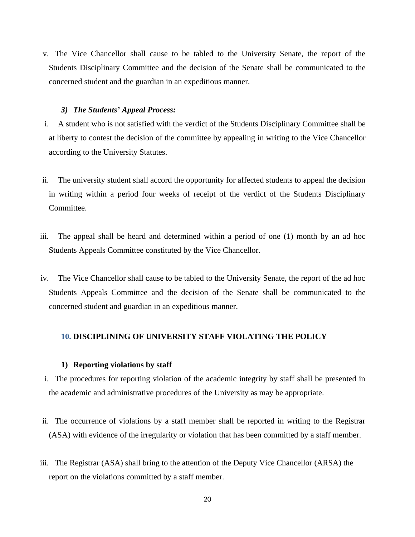v. The Vice Chancellor shall cause to be tabled to the University Senate, the report of the Students Disciplinary Committee and the decision of the Senate shall be communicated to the concerned student and the guardian in an expeditious manner.

#### *3) The Students' Appeal Process:*

- i. A student who is not satisfied with the verdict of the Students Disciplinary Committee shall be at liberty to contest the decision of the committee by appealing in writing to the Vice Chancellor according to the University Statutes.
- ii. The university student shall accord the opportunity for affected students to appeal the decision in writing within a period four weeks of receipt of the verdict of the Students Disciplinary Committee.
- iii. The appeal shall be heard and determined within a period of one (1) month by an ad hoc Students Appeals Committee constituted by the Vice Chancellor.
- iv. The Vice Chancellor shall cause to be tabled to the University Senate, the report of the ad hoc Students Appeals Committee and the decision of the Senate shall be communicated to the concerned student and guardian in an expeditious manner.

#### <span id="page-19-0"></span>**10. DISCIPLINING OF UNIVERSITY STAFF VIOLATING THE POLICY**

#### **1) Reporting violations by staff**

- i. The procedures for reporting violation of the academic integrity by staff shall be presented in the academic and administrative procedures of the University as may be appropriate.
- ii. The occurrence of violations by a staff member shall be reported in writing to the Registrar (ASA) with evidence of the irregularity or violation that has been committed by a staff member.
- iii. The Registrar (ASA) shall bring to the attention of the Deputy Vice Chancellor (ARSA) the report on the violations committed by a staff member.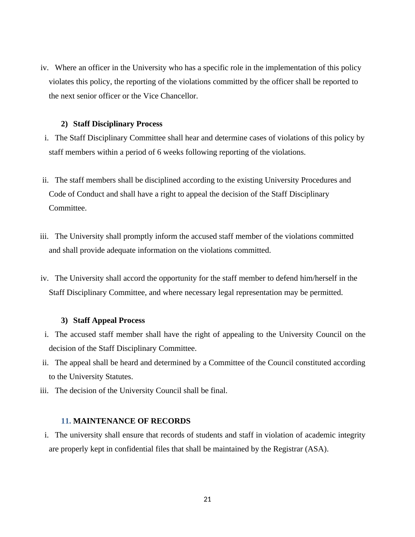iv. Where an officer in the University who has a specific role in the implementation of this policy violates this policy, the reporting of the violations committed by the officer shall be reported to the next senior officer or the Vice Chancellor.

#### **2) Staff Disciplinary Process**

- i. The Staff Disciplinary Committee shall hear and determine cases of violations of this policy by staff members within a period of 6 weeks following reporting of the violations.
- ii. The staff members shall be disciplined according to the existing University Procedures and Code of Conduct and shall have a right to appeal the decision of the Staff Disciplinary Committee.
- iii. The University shall promptly inform the accused staff member of the violations committed and shall provide adequate information on the violations committed.
- iv. The University shall accord the opportunity for the staff member to defend him/herself in the Staff Disciplinary Committee, and where necessary legal representation may be permitted.

#### **3) Staff Appeal Process**

- i. The accused staff member shall have the right of appealing to the University Council on the decision of the Staff Disciplinary Committee.
- ii. The appeal shall be heard and determined by a Committee of the Council constituted according to the University Statutes.
- iii. The decision of the University Council shall be final.

#### <span id="page-20-0"></span>**11. MAINTENANCE OF RECORDS**

i. The university shall ensure that records of students and staff in violation of academic integrity are properly kept in confidential files that shall be maintained by the Registrar (ASA).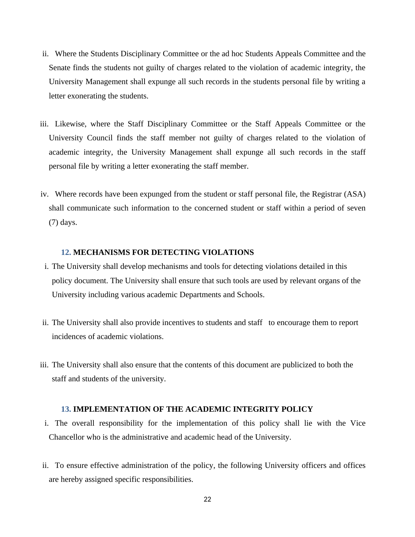- ii. Where the Students Disciplinary Committee or the ad hoc Students Appeals Committee and the Senate finds the students not guilty of charges related to the violation of academic integrity, the University Management shall expunge all such records in the students personal file by writing a letter exonerating the students.
- iii. Likewise, where the Staff Disciplinary Committee or the Staff Appeals Committee or the University Council finds the staff member not guilty of charges related to the violation of academic integrity, the University Management shall expunge all such records in the staff personal file by writing a letter exonerating the staff member.
- iv. Where records have been expunged from the student or staff personal file, the Registrar (ASA) shall communicate such information to the concerned student or staff within a period of seven (7) days.

#### <span id="page-21-0"></span>**12. MECHANISMS FOR DETECTING VIOLATIONS**

- i. The University shall develop mechanisms and tools for detecting violations detailed in this policy document. The University shall ensure that such tools are used by relevant organs of the University including various academic Departments and Schools.
- ii. The University shall also provide incentives to students and staff to encourage them to report incidences of academic violations.
- iii. The University shall also ensure that the contents of this document are publicized to both the staff and students of the university.

#### <span id="page-21-1"></span>**13. IMPLEMENTATION OF THE ACADEMIC INTEGRITY POLICY**

- i. The overall responsibility for the implementation of this policy shall lie with the Vice Chancellor who is the administrative and academic head of the University.
- ii. To ensure effective administration of the policy, the following University officers and offices are hereby assigned specific responsibilities.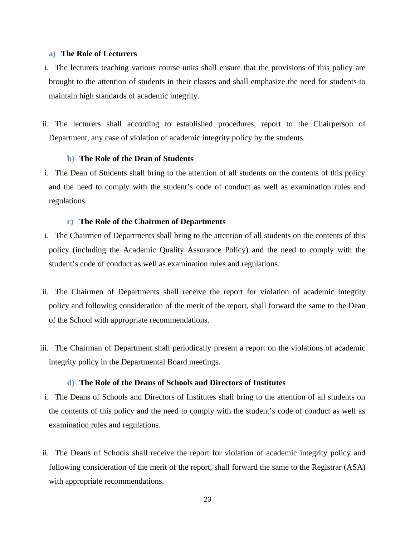#### <span id="page-22-0"></span>**a) The Role of Lecturers**

- i. The lecturers teaching various course units shall ensure that the provisions of this policy are brought to the attention of students in their classes and shall emphasize the need for students to maintain high standards of academic integrity.
- ii. The lecturers shall according to established procedures, report to the Chairperson of Department, any case of violation of academic integrity policy by the students.

#### <span id="page-22-1"></span>**b) The Role of the Dean of Students**

i. The Dean of Students shall bring to the attention of all students on the contents of this policy and the need to comply with the student's code of conduct as well as examination rules and regulations.

#### <span id="page-22-3"></span>**c) The Role of the Chairmen of Departments**

- i. The Chairmen of Departments shall bring to the attention of all students on the contents of this policy (including the Academic Quality Assurance Policy) and the need to comply with the student's code of conduct as well as examination rules and regulations.
- ii. The Chairmen of Departments shall receive the report for violation of academic integrity policy and following consideration of the merit of the report, shall forward the same to the Dean of the School with appropriate recommendations.
- iii. The Chairman of Department shall periodically present a report on the violations of academic integrity policy in the Departmental Board meetings.

#### <span id="page-22-2"></span>**d) The Role of the Deans of Schools and Directors of Institutes**

- i. The Deans of Schools and Directors of Institutes shall bring to the attention of all students on the contents of this policy and the need to comply with the student's code of conduct as well as examination rules and regulations.
- ii. The Deans of Schools shall receive the report for violation of academic integrity policy and following consideration of the merit of the report, shall forward the same to the Registrar (ASA) with appropriate recommendations.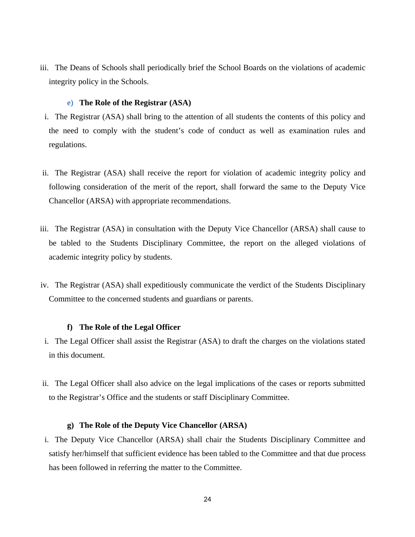iii. The Deans of Schools shall periodically brief the School Boards on the violations of academic integrity policy in the Schools.

#### <span id="page-23-0"></span>**e) The Role of the Registrar (ASA)**

- i. The Registrar (ASA) shall bring to the attention of all students the contents of this policy and the need to comply with the student's code of conduct as well as examination rules and regulations.
- ii. The Registrar (ASA) shall receive the report for violation of academic integrity policy and following consideration of the merit of the report, shall forward the same to the Deputy Vice Chancellor (ARSA) with appropriate recommendations.
- iii. The Registrar (ASA) in consultation with the Deputy Vice Chancellor (ARSA) shall cause to be tabled to the Students Disciplinary Committee, the report on the alleged violations of academic integrity policy by students.
- iv. The Registrar (ASA) shall expeditiously communicate the verdict of the Students Disciplinary Committee to the concerned students and guardians or parents.

#### **f) The Role of the Legal Officer**

- i. The Legal Officer shall assist the Registrar (ASA) to draft the charges on the violations stated in this document.
- ii. The Legal Officer shall also advice on the legal implications of the cases or reports submitted to the Registrar's Office and the students or staff Disciplinary Committee.

#### **g) The Role of the Deputy Vice Chancellor (ARSA)**

i. The Deputy Vice Chancellor (ARSA) shall chair the Students Disciplinary Committee and satisfy her/himself that sufficient evidence has been tabled to the Committee and that due process has been followed in referring the matter to the Committee.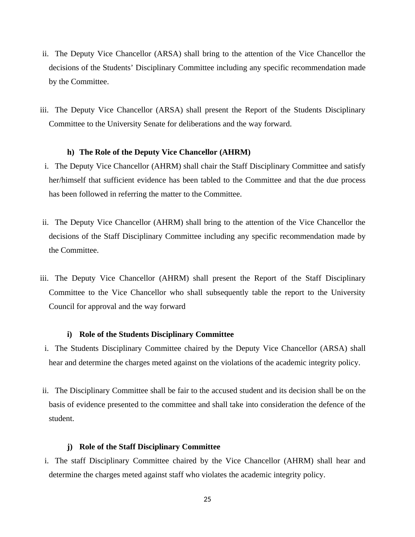- ii. The Deputy Vice Chancellor (ARSA) shall bring to the attention of the Vice Chancellor the decisions of the Students' Disciplinary Committee including any specific recommendation made by the Committee.
- iii. The Deputy Vice Chancellor (ARSA) shall present the Report of the Students Disciplinary Committee to the University Senate for deliberations and the way forward.

#### **h) The Role of the Deputy Vice Chancellor (AHRM)**

- i. The Deputy Vice Chancellor (AHRM) shall chair the Staff Disciplinary Committee and satisfy her/himself that sufficient evidence has been tabled to the Committee and that the due process has been followed in referring the matter to the Committee.
- ii. The Deputy Vice Chancellor (AHRM) shall bring to the attention of the Vice Chancellor the decisions of the Staff Disciplinary Committee including any specific recommendation made by the Committee.
- iii. The Deputy Vice Chancellor (AHRM) shall present the Report of the Staff Disciplinary Committee to the Vice Chancellor who shall subsequently table the report to the University Council for approval and the way forward

#### **i) Role of the Students Disciplinary Committee**

- i. The Students Disciplinary Committee chaired by the Deputy Vice Chancellor (ARSA) shall hear and determine the charges meted against on the violations of the academic integrity policy.
- ii. The Disciplinary Committee shall be fair to the accused student and its decision shall be on the basis of evidence presented to the committee and shall take into consideration the defence of the student.

#### **j) Role of the Staff Disciplinary Committee**

i. The staff Disciplinary Committee chaired by the Vice Chancellor (AHRM) shall hear and determine the charges meted against staff who violates the academic integrity policy.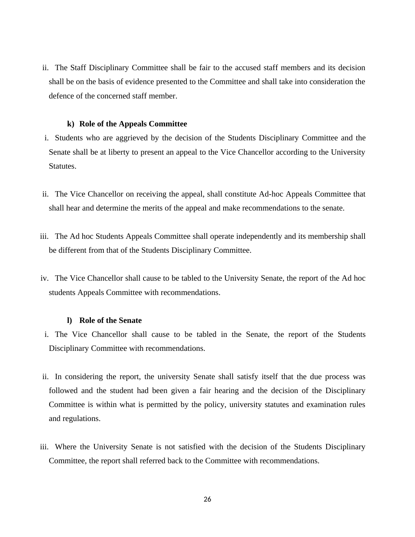ii. The Staff Disciplinary Committee shall be fair to the accused staff members and its decision shall be on the basis of evidence presented to the Committee and shall take into consideration the defence of the concerned staff member.

#### **k) Role of the Appeals Committee**

- i. Students who are aggrieved by the decision of the Students Disciplinary Committee and the Senate shall be at liberty to present an appeal to the Vice Chancellor according to the University Statutes.
- ii. The Vice Chancellor on receiving the appeal, shall constitute Ad-hoc Appeals Committee that shall hear and determine the merits of the appeal and make recommendations to the senate.
- iii. The Ad hoc Students Appeals Committee shall operate independently and its membership shall be different from that of the Students Disciplinary Committee.
- iv. The Vice Chancellor shall cause to be tabled to the University Senate, the report of the Ad hoc students Appeals Committee with recommendations.

#### **l) Role of the Senate**

- i. The Vice Chancellor shall cause to be tabled in the Senate, the report of the Students Disciplinary Committee with recommendations.
- ii. In considering the report, the university Senate shall satisfy itself that the due process was followed and the student had been given a fair hearing and the decision of the Disciplinary Committee is within what is permitted by the policy, university statutes and examination rules and regulations.
- iii. Where the University Senate is not satisfied with the decision of the Students Disciplinary Committee, the report shall referred back to the Committee with recommendations.